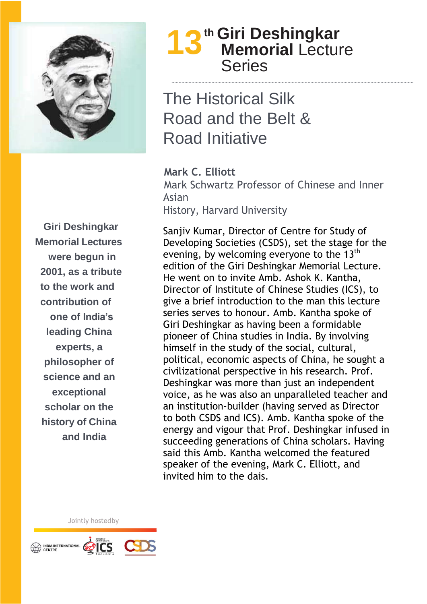

## **th Giri Deshingkar 13** th Giri Deshingkar<br> **13** Memorial Lecture **Series**

The Historical Silk Road and the Belt & Road Initiative

**Mark C. Elliott** Mark Schwartz Professor of Chinese and Inner Asian History, Harvard University

**Giri Deshingkar Memorial Lectures were begun in 2001, as a tribute to the work and contribution of one of India's leading China experts, a philosopher of science and an exceptional scholar on the history of China and India**

Sanjiv Kumar, Director of Centre for Study of Developing Societies (CSDS), set the stage for the evening, by welcoming everyone to the  $13<sup>th</sup>$ edition of the Giri Deshingkar Memorial Lecture. He went on to invite Amb. Ashok K. Kantha, Director of Institute of Chinese Studies (ICS), to give a brief introduction to the man this lecture series serves to honour. Amb. Kantha spoke of Giri Deshingkar as having been a formidable pioneer of China studies in India. By involving himself in the study of the social, cultural, political, economic aspects of China, he sought a civilizational perspective in his research. Prof. Deshingkar was more than just an independent voice, as he was also an unparalleled teacher and an institution-builder (having served as Director to both CSDS and ICS). Amb. Kantha spoke of the energy and vigour that Prof. Deshingkar infused in succeeding generations of China scholars. Having said this Amb. Kantha welcomed the featured speaker of the evening, Mark C. Elliott, and invited him to the dais.

Jointly hostedby

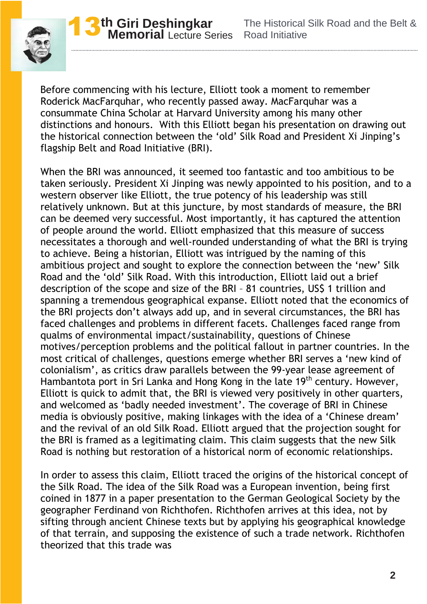

 Before commencing with his lecture, Elliott took a moment to remember Roderick MacFarquhar, who recently passed away. MacFarquhar was a consummate China Scholar at Harvard University among his many other distinctions and honours. With this Elliott began his presentation on drawing out the historical connection between the 'old' Silk Road and President Xi Jinping's flagship Belt and Road Initiative (BRI).

When the BRI was announced, it seemed too fantastic and too ambitious to be taken seriously. President Xi Jinping was newly appointed to his position, and to a western observer like Elliott, the true potency of his leadership was still relatively unknown. But at this juncture, by most standards of measure, the BRI can be deemed very successful. Most importantly, it has captured the attention of people around the world. Elliott emphasized that this measure of success necessitates a thorough and well-rounded understanding of what the BRI is trying to achieve. Being a historian, Elliott was intrigued by the naming of this ambitious project and sought to explore the connection between the 'new' Silk Road and the 'old' Silk Road. With this introduction, Elliott laid out a brief description of the scope and size of the BRI - 81 countries, US\$ 1 trillion and spanning a tremendous geographical expanse. Elliott noted that the economics of the BRI projects don't always add up, and in several circumstances, the BRI has faced challenges and problems in different facets. Challenges faced range from qualms of environmental impact/sustainability, questions of Chinese motives/perception problems and the political fallout in partner countries. In the most critical of challenges, questions emerge whether BRI serves a 'new kind of colonialism', as critics draw parallels between the 99-year lease agreement of Hambantota port in Sri Lanka and Hong Kong in the late  $19<sup>th</sup>$  century. However, Elliott is quick to admit that, the BRI is viewed very positively in other quarters, and welcomed as 'badly needed investment'. The coverage of BRI in Chinese media is obviously positive, making linkages with the idea of a 'Chinese dream' and the revival of an old Silk Road. Elliott argued that the projection sought for the BRI is framed as a legitimating claim. This claim suggests that the new Silk Road is nothing but restoration of a historical norm of economic relationships.

In order to assess this claim, Elliott traced the origins of the historical concept of the Silk Road. The idea of the Silk Road was a European invention, being first coined in 1877 in a paper presentation to the German Geological Society by the geographer Ferdinand von Richthofen. Richthofen arrives at this idea, not by sifting through ancient Chinese texts but by applying his geographical knowledge of that terrain, and supposing the existence of such a trade network. Richthofen theorized that this trade was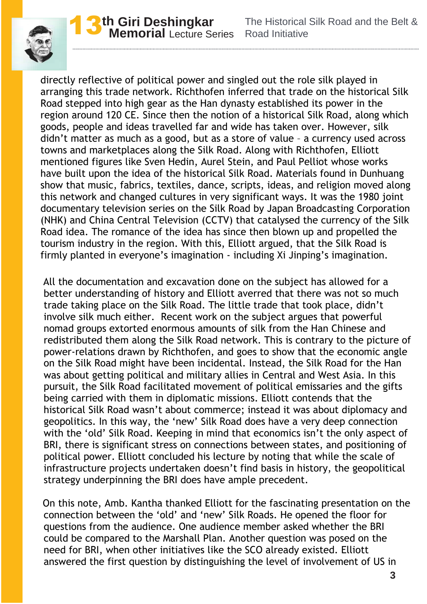

directly reflective of political power and singled out the role silk played in arranging this trade network. Richthofen inferred that trade on the historical Silk Road stepped into high gear as the Han dynasty established its power in the region around 120 CE. Since then the notion of a historical Silk Road, along which goods, people and ideas travelled far and wide has taken over. However, silk didn't matter as much as a good, but as a store of value – a currency used across towns and marketplaces along the Silk Road. Along with Richthofen, Elliott mentioned figures like Sven Hedin, Aurel Stein, and Paul Pelliot whose works have built upon the idea of the historical Silk Road. Materials found in Dunhuang show that music, fabrics, textiles, dance, scripts, ideas, and religion moved along this network and changed cultures in very significant ways. It was the 1980 joint documentary television series on the Silk Road by Japan Broadcasting Corporation (NHK) and China Central Television (CCTV) that catalysed the currency of the Silk Road idea. The romance of the idea has since then blown up and propelled the tourism industry in the region. With this, Elliott argued, that the Silk Road is firmly planted in everyone's imagination - including Xi Jinping's imagination.

 All the documentation and excavation done on the subject has allowed for a better understanding of history and Elliott averred that there was not so much trade taking place on the Silk Road. The little trade that took place, didn't involve silk much either. Recent work on the subject argues that powerful nomad groups extorted enormous amounts of silk from the Han Chinese and redistributed them along the Silk Road network. This is contrary to the picture of power-relations drawn by Richthofen, and goes to show that the economic angle on the Silk Road might have been incidental. Instead, the Silk Road for the Han was about getting political and military allies in Central and West Asia. In this pursuit, the Silk Road facilitated movement of political emissaries and the gifts being carried with them in diplomatic missions. Elliott contends that the historical Silk Road wasn't about commerce; instead it was about diplomacy and geopolitics. In this way, the 'new' Silk Road does have a very deep connection with the 'old' Silk Road. Keeping in mind that economics isn't the only aspect of BRI, there is significant stress on connections between states, and positioning of political power. Elliott concluded his lecture by noting that while the scale of infrastructure projects undertaken doesn't find basis in history, the geopolitical strategy underpinning the BRI does have ample precedent.

 On this note, Amb. Kantha thanked Elliott for the fascinating presentation on the connection between the 'old' and 'new' Silk Roads. He opened the floor for questions from the audience. One audience member asked whether the BRI could be compared to the Marshall Plan. Another question was posed on the need for BRI, when other initiatives like the SCO already existed. Elliott answered the first question by distinguishing the level of involvement of US in